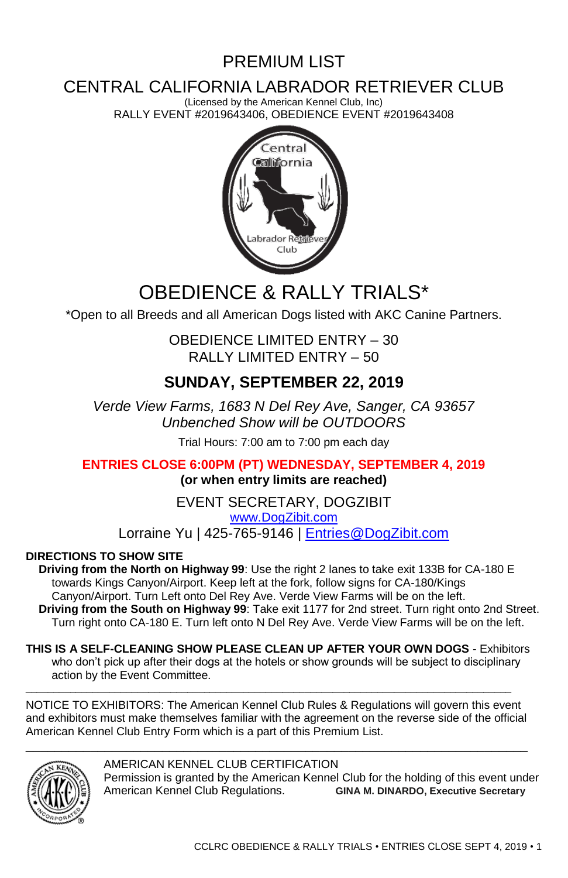# PREMIUM LIST

# CENTRAL CALIFORNIA LABRADOR RETRIEVER CLUB

(Licensed by the American Kennel Club, Inc) RALLY EVENT #2019643406, OBEDIENCE EVENT #2019643408



# OBEDIENCE & RALLY TRIAI S\*

\*Open to all Breeds and all American Dogs listed with AKC Canine Partners.

OBEDIENCE LIMITED ENTRY – 30 RALLY LIMITED ENTRY – 50

# **SUNDAY, SEPTEMBER 22, 2019**

*Verde View Farms, 1683 N Del Rey Ave, Sanger, CA 93657 Unbenched Show will be OUTDOORS*

Trial Hours: 7:00 am to 7:00 pm each day

**ENTRIES CLOSE 6:00PM (PT) WEDNESDAY, SEPTEMBER 4, 2019 (or when entry limits are reached)**

> EVENT SECRETARY, DOGZIBIT [www.DogZibit.com](http://www.dogzibit.com/)

Lorraine Yu | 425-765-9146 | [Entries@DogZibit.com](mailto:Entries@DogZibit.com)

### **DIRECTIONS TO SHOW SITE**

**Driving from the North on Highway 99**: Use the right 2 lanes to take exit 133B for CA-180 E towards Kings Canyon/Airport. Keep left at the fork, follow signs for CA-180/Kings Canyon/Airport. Turn Left onto Del Rey Ave. Verde View Farms will be on the left. **Driving from the South on Highway 99**: Take exit 1177 for 2nd street. Turn right onto 2nd Street. Turn right onto CA-180 E. Turn left onto N Del Rey Ave. Verde View Farms will be on the left.

**THIS IS A SELF-CLEANING SHOW PLEASE CLEAN UP AFTER YOUR OWN DOGS** - Exhibitors who don't pick up after their dogs at the hotels or show grounds will be subject to disciplinary action by the Event Committee.

NOTICE TO EXHIBITORS: The American Kennel Club Rules & Regulations will govern this event and exhibitors must make themselves familiar with the agreement on the reverse side of the official American Kennel Club Entry Form which is a part of this Premium List. \_\_\_\_\_\_\_\_\_\_\_\_\_\_\_\_\_\_\_\_\_\_\_\_\_\_\_\_\_\_\_\_\_\_\_\_\_\_\_\_\_\_\_\_\_\_\_\_\_\_\_\_\_\_\_\_\_\_\_\_\_\_\_\_\_\_\_\_\_\_

\_\_\_\_\_\_\_\_\_\_\_\_\_\_\_\_\_\_\_\_\_\_\_\_\_\_\_\_\_\_\_\_\_\_\_\_\_\_\_\_\_\_\_\_\_\_\_\_\_\_\_\_\_\_\_\_\_\_\_\_\_\_\_\_\_\_\_\_\_\_\_\_\_\_\_\_\_\_\_\_\_\_\_\_\_\_\_



AMERICAN KENNEL CLUB CERTIFICATION Permission is granted by the American Kennel Club for the holding of this event under American Kennel Club Regulations. **GINA M. DINARDO, Executive Secretary**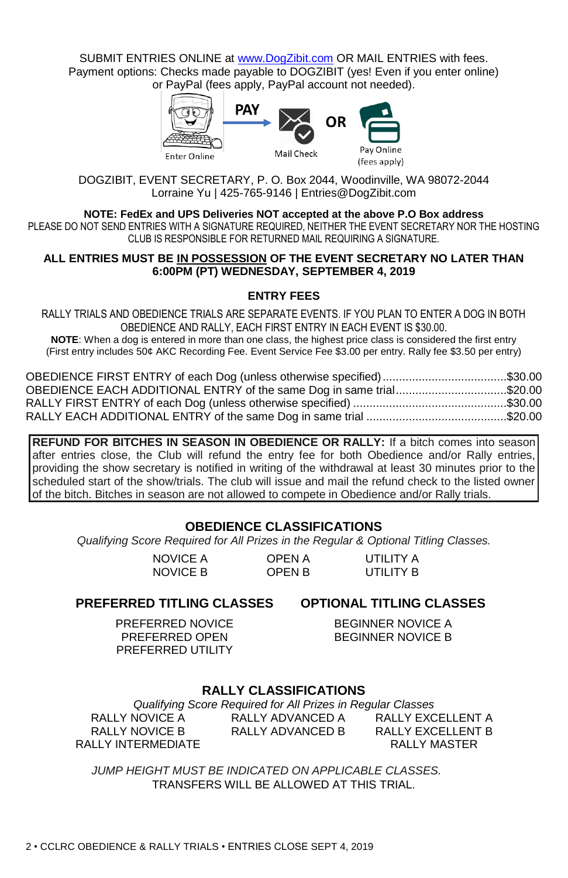SUBMIT ENTRIES ONLINE a[t www.DogZibit.com](http://www.dogzibit.com/) OR MAIL ENTRIES with fees. Payment options: Checks made payable to DOGZIBIT (yes! Even if you enter online) or PayPal (fees apply, PayPal account not needed).



DOGZIBIT, EVENT SECRETARY, P. O. Box 2044, Woodinville, WA 98072-2044 Lorraine Yu | 425-765-9146 | Entries@DogZibit.com

#### **NOTE: FedEx and UPS Deliveries NOT accepted at the above P.O Box address**

PLEASE DO NOT SEND ENTRIES WITH A SIGNATURE REQUIRED, NEITHER THE EVENT SECRETARY NOR THE HOSTING CLUB IS RESPONSIBLE FOR RETURNED MAIL REQUIRING A SIGNATURE.

#### **ALL ENTRIES MUST BE IN POSSESSION OF THE EVENT SECRETARY NO LATER THAN 6:00PM (PT) WEDNESDAY, SEPTEMBER 4, 2019**

### **ENTRY FEES**

RALLY TRIALS AND OBEDIENCE TRIALS ARE SEPARATE EVENTS. IF YOU PLAN TO ENTER A DOG IN BOTH OBEDIENCE AND RALLY, EACH FIRST ENTRY IN EACH EVENT IS \$30.00.

**NOTE**: When a dog is entered in more than one class, the highest price class is considered the first entry (First entry includes 50¢ AKC Recording Fee. Event Service Fee \$3.00 per entry. Rally fee \$3.50 per entry)

| OBEDIENCE FIRST ENTRY of each Dog (unless otherwise specified)\$30.00 |  |
|-----------------------------------------------------------------------|--|
| OBEDIENCE EACH ADDITIONAL ENTRY of the same Dog in same trial\$20.00  |  |
|                                                                       |  |
|                                                                       |  |

**REFUND FOR BITCHES IN SEASON IN OBEDIENCE OR RALLY:** If a bitch comes into season after entries close, the Club will refund the entry fee for both Obedience and/or Rally entries, providing the show secretary is notified in writing of the withdrawal at least 30 minutes prior to the scheduled start of the show/trials. The club will issue and mail the refund check to the listed owner of the bitch. Bitches in season are not allowed to compete in Obedience and/or Rally trials.

### **OBEDIENCE CLASSIFICATIONS**

*Qualifying Score Required for All Prizes in the Regular & Optional Titling Classes.*

NOVICE A NOVICE B OPEN A OPEN B

UTILITY A UTILITY B

### **PREFERRED TITLING CLASSES OPTIONAL TITLING CLASSES**

PREFERRED NOVICE PREFERRED OPEN PREFERRED UTILITY

BEGINNER NOVICE A BEGINNER NOVICE B

### **RALLY CLASSIFICATIONS**

*Qualifying Score Required for All Prizes in Regular Classes* RALLY NOVICE A RALLY NOVICE B RALLY INTERMEDIATE RALLY ADVANCED A RALLY ADVANCED B RALLY EXCELLENT A RALLY EXCELLENT B RALLY MASTER

*JUMP HEIGHT MUST BE INDICATED ON APPLICABLE CLASSES.*  TRANSFERS WILL BE ALLOWED AT THIS TRIAL.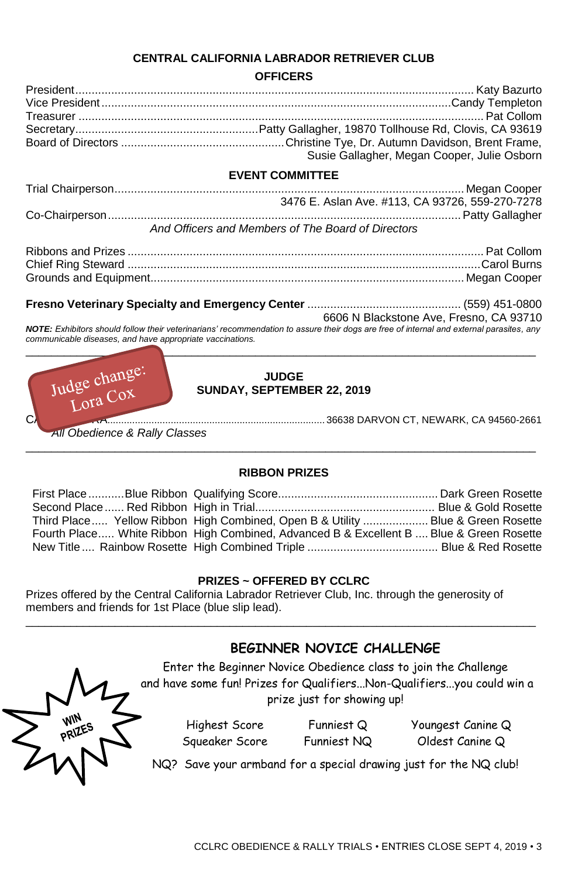### **CENTRAL CALIFORNIA LABRADOR RETRIEVER CLUB**

### **OFFICERS**

|                                                           | Susie Gallagher, Megan Cooper, Julie Osborn                                                                                                                                         |
|-----------------------------------------------------------|-------------------------------------------------------------------------------------------------------------------------------------------------------------------------------------|
|                                                           | <b>EVENT COMMITTEE</b>                                                                                                                                                              |
|                                                           |                                                                                                                                                                                     |
|                                                           | 3476 E. Aslan Ave. #113, CA 93726, 559-270-7278                                                                                                                                     |
|                                                           |                                                                                                                                                                                     |
|                                                           | And Officers and Members of The Board of Directors                                                                                                                                  |
|                                                           |                                                                                                                                                                                     |
|                                                           |                                                                                                                                                                                     |
|                                                           |                                                                                                                                                                                     |
|                                                           |                                                                                                                                                                                     |
|                                                           |                                                                                                                                                                                     |
|                                                           | 6606 N Blackstone Ave, Fresno, CA 93710<br>NOTE: Exhibitors should follow their veterinarians' recommendation to assure their dogs are free of internal and external parasites, any |
| communicable diseases, and have appropriate vaccinations. |                                                                                                                                                                                     |
|                                                           |                                                                                                                                                                                     |
|                                                           |                                                                                                                                                                                     |
| Judge change:                                             | <b>JUDGE</b>                                                                                                                                                                        |
|                                                           | SUNDAY, SEPTEMBER 22, 2019                                                                                                                                                          |

*All Obedience & Rally Classes*

### CATHY DUTRA............................................................................... 36638 DARVON CT, NEWARK, CA 94560-2661

## \_\_\_\_\_\_\_\_\_\_\_\_\_\_\_\_\_\_\_\_\_\_\_\_\_\_\_\_\_\_\_\_\_\_\_\_\_\_\_\_\_\_\_\_\_\_\_\_\_\_\_\_\_\_\_\_\_\_\_\_\_\_\_\_\_\_\_\_\_\_\_\_\_\_\_\_\_\_\_\_ **RIBBON PRIZES**

| Third Place Yellow Ribbon High Combined, Open B & Utility Blue & Green Rosette          |  |
|-----------------------------------------------------------------------------------------|--|
| Fourth Place White Ribbon High Combined, Advanced B & Excellent B  Blue & Green Rosette |  |
|                                                                                         |  |

### **PRIZES ~ OFFERED BY CCLRC**

\_\_\_\_\_\_\_\_\_\_\_\_\_\_\_\_\_\_\_\_\_\_\_\_\_\_\_\_\_\_\_\_\_\_\_\_\_\_\_\_\_\_\_\_\_\_\_\_\_\_\_\_\_\_\_\_\_\_\_\_\_\_\_\_\_\_\_\_\_\_\_\_\_\_\_\_\_\_\_\_

Prizes offered by the Central California Labrador Retriever Club, Inc. through the generosity of members and friends for 1st Place (blue slip lead).

### **BEGINNER NOVICE CHALLENGE**

Enter the Beginner Novice Obedience class to join the Challenge and have some fun! Prizes for Qualifiers...Non-Qualifiers...you could win a prize just for showing up!

> Highest Score Squeaker Score

Funniest Q Funniest NQ Youngest Canine Q Oldest Canine Q

NQ? Save your armband for a special drawing just for the NQ club!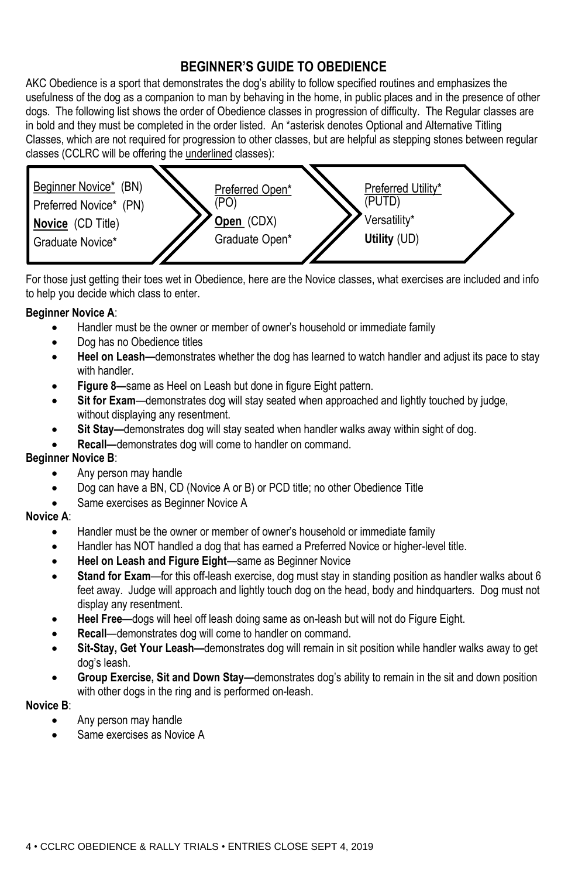### **BEGINNER'S GUIDE TO OBEDIENCE**

AKC Obedience is a sport that demonstrates the dog's ability to follow specified routines and emphasizes the usefulness of the dog as a companion to man by behaving in the home, in public places and in the presence of other dogs. The following list shows the order of Obedience classes in progression of difficulty. The Regular classes are in bold and they must be completed in the order listed. An \*asterisk denotes Optional and Alternative Titling Classes, which are not required for progression to other classes, but are helpful as stepping stones between regular classes (CCLRC will be offering the underlined classes):



For those just getting their toes wet in Obedience, here are the Novice classes, what exercises are included and info to help you decide which class to enter.

### **Beginner Novice A**:

- Handler must be the owner or member of owner's household or immediate family
- Dog has no Obedience titles
- **Heel on Leash—**demonstrates whether the dog has learned to watch handler and adjust its pace to stay with handler.
- **Figure 8—**same as Heel on Leash but done in figure Eight pattern.
- **Sit for Exam**—demonstrates dog will stay seated when approached and lightly touched by judge, without displaying any resentment.
- **Sit Stay—**demonstrates dog will stay seated when handler walks away within sight of dog.
- **Recall—**demonstrates dog will come to handler on command.

### **Beginner Novice B**:

- Any person may handle
- Dog can have a BN, CD (Novice A or B) or PCD title; no other Obedience Title
- Same exercises as Beginner Novice A

### **Novice A**:

- Handler must be the owner or member of owner's household or immediate family
- Handler has NOT handled a dog that has earned a Preferred Novice or higher-level title.
- **Heel on Leash and Figure Eight**—same as Beginner Novice
- **Stand for Exam**—for this off-leash exercise, dog must stay in standing position as handler walks about 6 feet away. Judge will approach and lightly touch dog on the head, body and hindquarters. Dog must not display any resentment.
- **Heel Free**—dogs will heel off leash doing same as on-leash but will not do Figure Eight.
- **Recall**—demonstrates dog will come to handler on command.
- **Sit-Stay, Get Your Leash—**demonstrates dog will remain in sit position while handler walks away to get dog's leash.
- **Group Exercise, Sit and Down Stay—**demonstrates dog's ability to remain in the sit and down position with other dogs in the ring and is performed on-leash.

### **Novice B**:

- Any person may handle
- Same exercises as Novice A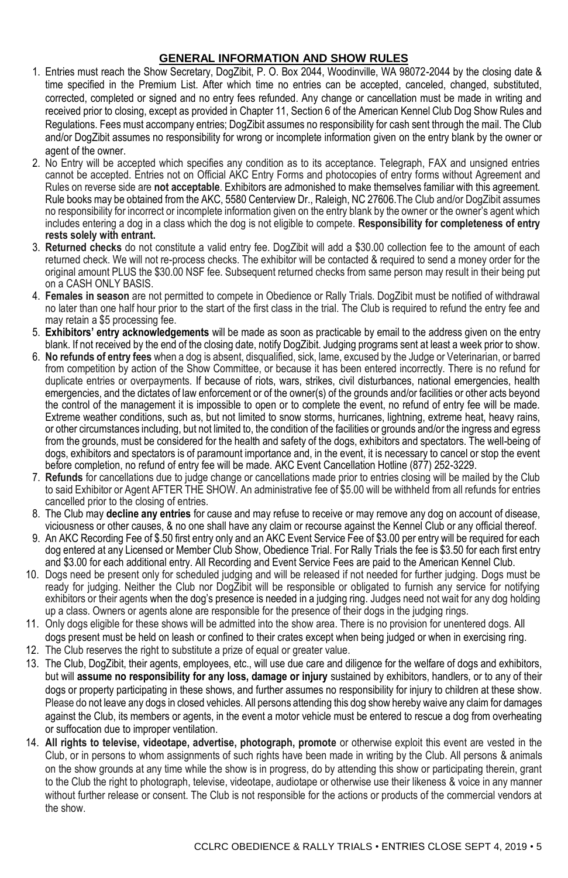### **GENERAL INFORMATION AND SHOW RULES**

- 1. Entries must reach the Show Secretary, DogZibit, P. O. Box 2044, Woodinville, WA 98072-2044 by the closing date & time specified in the Premium List. After which time no entries can be accepted, canceled, changed, substituted, corrected, completed or signed and no entry fees refunded. Any change or cancellation must be made in writing and received prior to closing, except as provided in Chapter 11, Section 6 of the American Kennel Club Dog Show Rules and Regulations. Fees must accompany entries; DogZibit assumes no responsibility for cash sent through the mail. The Club and/or DogZibit assumes no responsibility for wrong or incomplete information given on the entry blank by the owner or agent of the owner.
- 2. No Entry will be accepted which specifies any condition as to its acceptance. Telegraph, FAX and unsigned entries cannot be accepted. Entries not on Official AKC Entry Forms and photocopies of entry forms without Agreement and Rules on reverse side are **not acceptable**. Exhibitors are admonished to make themselves familiar with this agreement. Rule books may be obtained from the AKC, 5580 Centerview Dr., Raleigh, NC 27606.The Club and/or DogZibit assumes no responsibility for incorrect or incomplete information given on the entry blank by the owner or the owner's agent which includes entering a dog in a class which the dog is not eligible to compete. **Responsibility for completeness of entry rests solely with entrant.**
- 3. **Returned checks** do not constitute a valid entry fee. DogZibit will add a \$30.00 collection fee to the amount of each returned check. We will not re-process checks. The exhibitor will be contacted & required to send a money order for the original amount PLUS the \$30.00 NSF fee. Subsequent returned checks from same person may result in their being put on a CASH ONLY BASIS.
- 4. **Females in season** are not permitted to compete in Obedience or Rally Trials. DogZibit must be notified of withdrawal no later than one half hour prior to the start of the first class in the trial. The Club is required to refund the entry fee and may retain a \$5 processing fee.
- 5. **Exhibitors' entry acknowledgements** will be made as soon as practicable by email to the address given on the entry blank. If not received by the end of the closing date, notify DogZibit. Judging programs sent at least a week prior to show.
- 6. **No refunds of entry fees** when a dog is absent, disqualified, sick, lame, excused by the Judge or Veterinarian, or barred from competition by action of the Show Committee, or because it has been entered incorrectly. There is no refund for duplicate entries or overpayments. If because of riots, wars, strikes, civil disturbances, national emergencies, health emergencies, and the dictates of law enforcement or of the owner(s) of the grounds and/or facilities or other acts beyond the control of the management it is impossible to open or to complete the event, no refund of entry fee will be made. Extreme weather conditions, such as, but not limited to snow storms, hurricanes, lightning, extreme heat, heavy rains, or other circumstances including, but not limited to, the condition of the facilities or grounds and/or the ingress and egress from the grounds, must be considered for the health and safety of the dogs, exhibitors and spectators. The well-being of dogs, exhibitors and spectators is of paramount importance and, in the event, it is necessary to cancel or stop the event before completion, no refund of entry fee will be made. AKC Event Cancellation Hotline (877) 252-3229.
- 7. **Refunds** for cancellations due to judge change or cancellations made prior to entries closing will be mailed by the Club to said Exhibitor or Agent AFTER THE SHOW. An administrative fee of \$5.00 will be withheld from all refunds for entries cancelled prior to the closing of entries.
- 8. The Club may **decline any entries** for cause and may refuse to receive or may remove any dog on account of disease, viciousness or other causes, & no one shall have any claim or recourse against the Kennel Club or any official thereof.
- 9. An AKC Recording Fee of \$.50 first entry only and an AKC Event Service Fee of \$3.00 per entry will be required for each dog entered at any Licensed or Member Club Show, Obedience Trial. For Rally Trials the fee is \$3.50 for each first entry and \$3.00 for each additional entry. All Recording and Event Service Fees are paid to the American Kennel Club.
- 10. Dogs need be present only for scheduled judging and will be released if not needed for further judging. Dogs must be ready for judging. Neither the Club nor DogZibit will be responsible or obligated to furnish any service for notifying exhibitors or their agents when the dog's presence is needed in a judging ring. Judges need not wait for any dog holding up a class. Owners or agents alone are responsible for the presence of their dogs in the judging rings.
- 11. Only dogs eligible for these shows will be admitted into the show area. There is no provision for unentered dogs. All dogs present must be held on leash or confined to their crates except when being judged or when in exercising ring.
- 12. The Club reserves the right to substitute a prize of equal or greater value.
- 13. The Club, DogZibit, their agents, employees, etc., will use due care and diligence for the welfare of dogs and exhibitors, but will **assume no responsibility for any loss, damage or injury** sustained by exhibitors, handlers, or to any of their dogs or property participating in these shows, and further assumes no responsibility for injury to children at these show. Please do not leave any dogs in closed vehicles. All persons attending this dog show hereby waive any claim for damages against the Club, its members or agents, in the event a motor vehicle must be entered to rescue a dog from overheating or suffocation due to improper ventilation.
- 14. **All rights to televise, videotape, advertise, photograph, promote** or otherwise exploit this event are vested in the Club, or in persons to whom assignments of such rights have been made in writing by the Club. All persons & animals on the show grounds at any time while the show is in progress, do by attending this show or participating therein, grant to the Club the right to photograph, televise, videotape, audiotape or otherwise use their likeness & voice in any manner without further release or consent. The Club is not responsible for the actions or products of the commercial vendors at the show.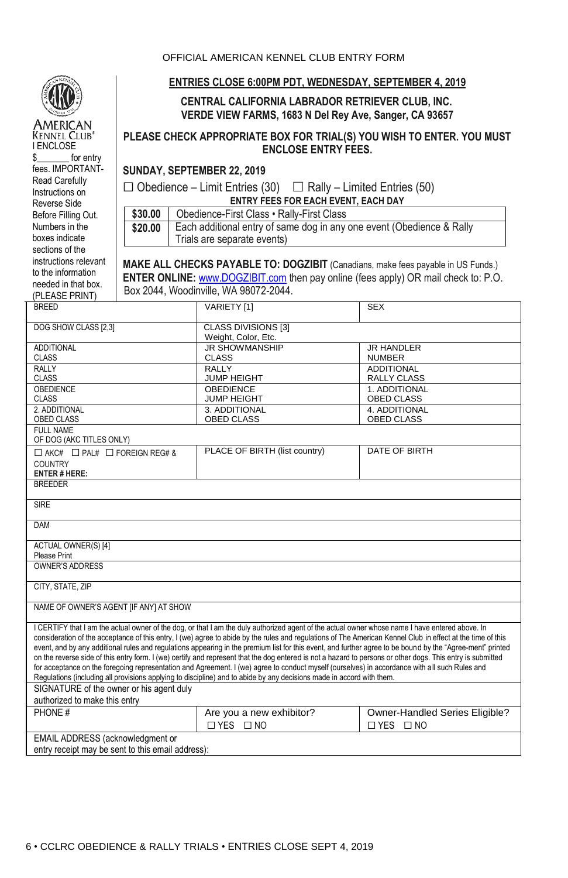| OFFICIAL AMERICAN KENNEL CLUB ENTRY FORM |  |
|------------------------------------------|--|
|------------------------------------------|--|



American **KENNEL CLUB®** I ENCLOSE \$\_\_\_\_\_\_\_ for entry fees. IMPORTANT-Read Carefully Instructions on Reverse Side Before Filling Out. Numbers in the boxes indicate sections of the instructions relevant to the information needed in that box. (PLEASE PRINT)

#### **ENTRIES CLOSE 6:00PM PDT, WEDNESDAY, SEPTEMBER 4, 2019**

### **CENTRAL CALIFORNIA LABRADOR RETRIEVER CLUB, INC. VERDE VIEW FARMS, 1683 N Del Rey Ave, Sanger, CA 93657**

### **PLEASE CHECK APPROPRIATE BOX FOR TRIAL(S) YOU WISH TO ENTER. YOU MUST ENCLOSE ENTRY FEES.**

**SUNDAY, SEPTEMBER 22, 2019**

 $\Box$  Obedience – Limit Entries (30)  $\Box$  Rally – Limited Entries (50) **ENTRY FEES FOR EACH EVENT, EACH DAY**

\$30.00 Obedience-First Class • Rally-First Class **\$20.00** Each additional entry of same dog in any one event (Obedience & Rally Trials are separate events)

**MAKE ALL CHECKS PAYABLE TO: DOGZIBIT** (Canadians, make fees payable in US Funds.) **ENTER ONLINE:** [www.DOGZIBIT.com](http://www.dogzibit.com/) then pay online (fees apply) OR mail check to: P.O. Box 2044, Woodinville, WA 98072-2044.

| <b>BREED</b>                                                                                                                                                                                                                                                                                                              | VARIETY [1]                                       | <b>SEX</b>                          |  |  |
|---------------------------------------------------------------------------------------------------------------------------------------------------------------------------------------------------------------------------------------------------------------------------------------------------------------------------|---------------------------------------------------|-------------------------------------|--|--|
| DOG SHOW CLASS [2,3]                                                                                                                                                                                                                                                                                                      | <b>CLASS DIVISIONS [3]</b><br>Weight, Color, Etc. |                                     |  |  |
| <b>ADDITIONAL</b>                                                                                                                                                                                                                                                                                                         | <b>JR SHOWMANSHIP</b>                             | <b>JR HANDLER</b>                   |  |  |
| <b>CLASS</b>                                                                                                                                                                                                                                                                                                              | <b>CLASS</b>                                      | <b>NUMBER</b>                       |  |  |
| RALLY                                                                                                                                                                                                                                                                                                                     | <b>RALLY</b>                                      | <b>ADDITIONAL</b>                   |  |  |
| <b>CLASS</b><br>OBEDIENCE                                                                                                                                                                                                                                                                                                 | JUMP HEIGHT<br><b>OBEDIENCE</b>                   | <b>RALLY CLASS</b><br>1. ADDITIONAL |  |  |
| <b>CLASS</b>                                                                                                                                                                                                                                                                                                              | <b>JUMP HEIGHT</b>                                | <b>OBED CLASS</b>                   |  |  |
| 2. ADDITIONAL                                                                                                                                                                                                                                                                                                             | 3. ADDITIONAL                                     | 4. ADDITIONAL                       |  |  |
| OBED CLASS                                                                                                                                                                                                                                                                                                                | <b>OBED CLASS</b>                                 | <b>OBED CLASS</b>                   |  |  |
| <b>FULL NAME</b>                                                                                                                                                                                                                                                                                                          |                                                   |                                     |  |  |
| OF DOG (AKC TITLES ONLY)                                                                                                                                                                                                                                                                                                  |                                                   |                                     |  |  |
| $\Box$ AKC# $\Box$ PAL# $\Box$ FOREIGN REG# &                                                                                                                                                                                                                                                                             | PLACE OF BIRTH (list country)                     | DATE OF BIRTH                       |  |  |
| <b>COUNTRY</b>                                                                                                                                                                                                                                                                                                            |                                                   |                                     |  |  |
| <b>ENTER # HERE:</b>                                                                                                                                                                                                                                                                                                      |                                                   |                                     |  |  |
| <b>BREEDER</b>                                                                                                                                                                                                                                                                                                            |                                                   |                                     |  |  |
| <b>SIRE</b>                                                                                                                                                                                                                                                                                                               |                                                   |                                     |  |  |
|                                                                                                                                                                                                                                                                                                                           |                                                   |                                     |  |  |
| DAM                                                                                                                                                                                                                                                                                                                       |                                                   |                                     |  |  |
| <b>ACTUAL OWNER(S)[4]</b>                                                                                                                                                                                                                                                                                                 |                                                   |                                     |  |  |
| Please Print                                                                                                                                                                                                                                                                                                              |                                                   |                                     |  |  |
| <b>OWNER'S ADDRESS</b>                                                                                                                                                                                                                                                                                                    |                                                   |                                     |  |  |
| CITY, STATE, ZIP                                                                                                                                                                                                                                                                                                          |                                                   |                                     |  |  |
| NAME OF OWNER'S AGENT [IF ANY] AT SHOW                                                                                                                                                                                                                                                                                    |                                                   |                                     |  |  |
| I CERTIFY that I am the actual owner of the dog, or that I am the duly authorized agent of the actual owner whose name I have entered above. In<br>consideration of the acceptance of this entry, I (we) agree to abide by the rules and regulations of The American Kennel Club in effect at the time of this            |                                                   |                                     |  |  |
| event, and by any additional rules and regulations appearing in the premium list for this event, and further agree to be bound by the "Agree-ment" printed<br>on the reverse side of this entry form. I (we) certify and represent that the dog entered is not a hazard to persons or other dogs. This entry is submitted |                                                   |                                     |  |  |
| for acceptance on the foregoing representation and Agreement. I (we) agree to conduct myself (ourselves) in accordance with all such Rules and                                                                                                                                                                            |                                                   |                                     |  |  |
| Regulations (including all provisions applying to discipline) and to abide by any decisions made in accord with them.                                                                                                                                                                                                     |                                                   |                                     |  |  |
| SIGNATURE of the owner or his agent duly                                                                                                                                                                                                                                                                                  |                                                   |                                     |  |  |
| authorized to make this entry                                                                                                                                                                                                                                                                                             |                                                   |                                     |  |  |
| PHONE#                                                                                                                                                                                                                                                                                                                    | Are you a new exhibitor?                          | Owner-Handled Series Eligible?      |  |  |
|                                                                                                                                                                                                                                                                                                                           | $\Box$ YES $\Box$ NO                              | $\Box$ YES $\Box$ NO                |  |  |
| EMAIL ADDRESS (acknowledgment or                                                                                                                                                                                                                                                                                          |                                                   |                                     |  |  |
| entry receipt may be sent to this email address):                                                                                                                                                                                                                                                                         |                                                   |                                     |  |  |
|                                                                                                                                                                                                                                                                                                                           |                                                   |                                     |  |  |